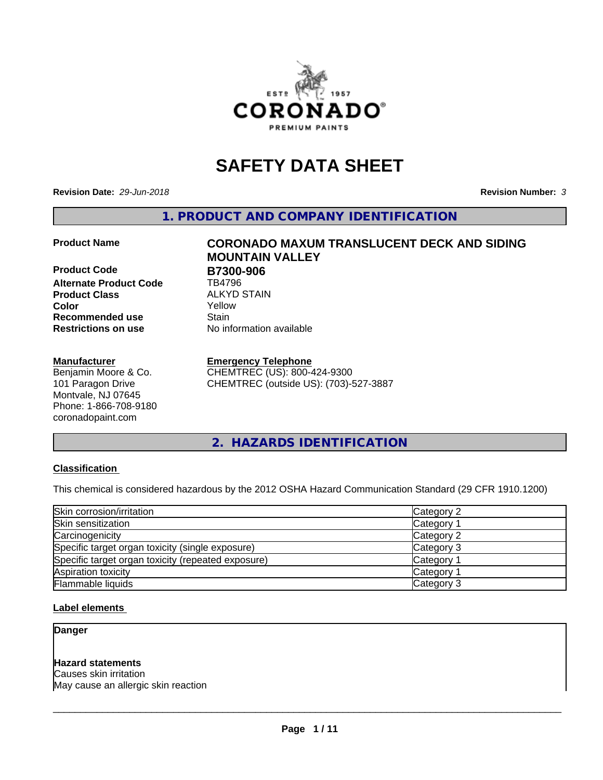

# **SAFETY DATA SHEET**

**Revision Date:** *29-Jun-2018* **Revision Number:** *3*

**1. PRODUCT AND COMPANY IDENTIFICATION**

**Product Code B7300-906 Alternate Product Code** TB4796 **Product Class** ALKYD STAIN<br> **Color** Yellow **Recommended use Stain Restrictions on use** No information available

#### **Manufacturer**

Benjamin Moore & Co. 101 Paragon Drive Montvale, NJ 07645 Phone: 1-866-708-9180 coronadopaint.com

**Product Name CORONADO MAXUM TRANSLUCENT DECK AND SIDING MOUNTAIN VALLEY Color** Yellow

#### **Emergency Telephone**

CHEMTREC (US): 800-424-9300 CHEMTREC (outside US): (703)-527-3887

**2. HAZARDS IDENTIFICATION**

#### **Classification**

This chemical is considered hazardous by the 2012 OSHA Hazard Communication Standard (29 CFR 1910.1200)

| Skin corrosion/irritation                          | Category 2        |
|----------------------------------------------------|-------------------|
| Skin sensitization                                 | Category 1        |
| Carcinogenicity                                    | Category 2        |
| Specific target organ toxicity (single exposure)   | Category 3        |
| Specific target organ toxicity (repeated exposure) | Category 1        |
| Aspiration toxicity                                | <b>Category 1</b> |
| Flammable liquids                                  | Category 3        |

#### **Label elements**

**Danger**

#### **Hazard statements**

Causes skin irritation May cause an allergic skin reaction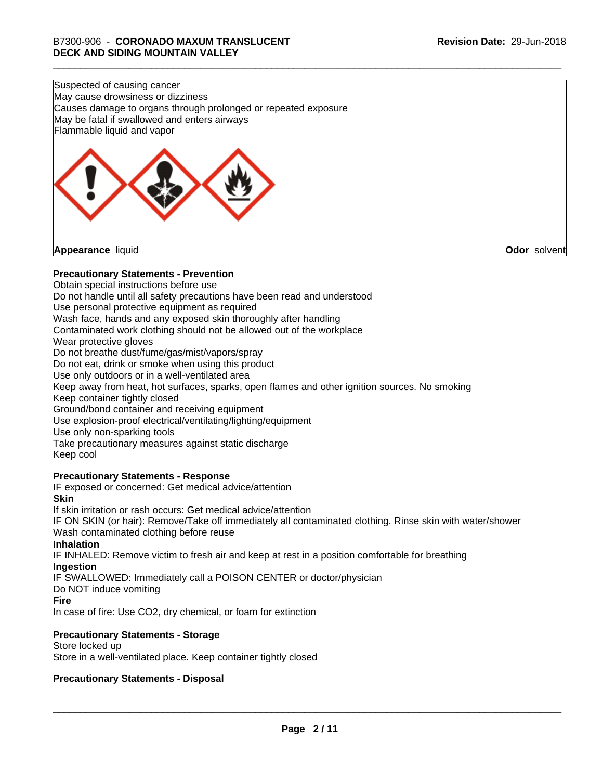Suspected of causing cancer May cause drowsiness or dizziness Causes damage to organs through prolonged or repeated exposure May be fatal if swallowed and enters airways Flammable liquid and vapor



**Appearance** liquid **Odor** solvent

#### **Precautionary Statements - Prevention**

Obtain special instructions before use Do not handle until all safety precautions have been read and understood Use personal protective equipment as required Wash face, hands and any exposed skin thoroughly after handling Contaminated work clothing should not be allowed out of the workplace Wear protective gloves Do not breathe dust/fume/gas/mist/vapors/spray Do not eat, drink or smoke when using this product Use only outdoors or in a well-ventilated area Keep away from heat, hot surfaces, sparks, open flames and other ignition sources. No smoking Keep container tightly closed Ground/bond container and receiving equipment Use explosion-proof electrical/ventilating/lighting/equipment Use only non-sparking tools Take precautionary measures against static discharge Keep cool **Precautionary Statements - Response** IF exposed or concerned: Get medical advice/attention **Skin** If skin irritation or rash occurs: Get medical advice/attention

IF ON SKIN (or hair): Remove/Take off immediately all contaminated clothing. Rinse skin with water/shower Wash contaminated clothing before reuse

#### **Inhalation**

IF INHALED: Remove victim to fresh air and keep at rest in a position comfortable for breathing **Ingestion**

IF SWALLOWED: Immediately call a POISON CENTER or doctor/physician

# Do NOT induce vomiting

**Fire**

In case of fire: Use CO2, dry chemical, or foam for extinction

#### **Precautionary Statements - Storage**

Store locked up Store in a well-ventilated place. Keep container tightly closed

#### **Precautionary Statements - Disposal**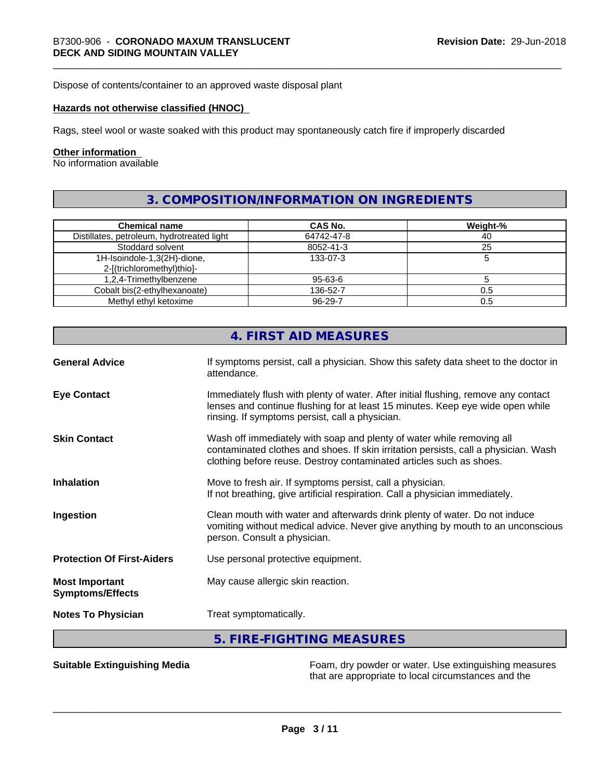Dispose of contents/container to an approved waste disposal plant

#### **Hazards not otherwise classified (HNOC)**

Rags, steel wool or waste soaked with this product may spontaneously catch fire if improperly discarded

#### **Other information**

No information available

# **3. COMPOSITION/INFORMATION ON INGREDIENTS**

| <b>Chemical name</b>                       | CAS No.       | Weight-% |
|--------------------------------------------|---------------|----------|
| Distillates, petroleum, hydrotreated light | 64742-47-8    | 40       |
| Stoddard solvent                           | 8052-41-3     | 25       |
| 1H-Isoindole-1,3(2H)-dione,                | 133-07-3      |          |
| 2-[(trichloromethyl)thio]-                 |               |          |
| 1,2,4-Trimethylbenzene                     | 95-63-6       |          |
| Cobalt bis(2-ethylhexanoate)               | 136-52-7      | 0.5      |
| Methyl ethyl ketoxime                      | $96 - 29 - 7$ | 0.5      |

|                                                  | 4. FIRST AID MEASURES                                                                                                                                                                                                               |
|--------------------------------------------------|-------------------------------------------------------------------------------------------------------------------------------------------------------------------------------------------------------------------------------------|
| <b>General Advice</b>                            | If symptoms persist, call a physician. Show this safety data sheet to the doctor in<br>attendance.                                                                                                                                  |
| <b>Eye Contact</b>                               | Immediately flush with plenty of water. After initial flushing, remove any contact<br>lenses and continue flushing for at least 15 minutes. Keep eye wide open while<br>rinsing. If symptoms persist, call a physician.             |
| <b>Skin Contact</b>                              | Wash off immediately with soap and plenty of water while removing all<br>contaminated clothes and shoes. If skin irritation persists, call a physician. Wash<br>clothing before reuse. Destroy contaminated articles such as shoes. |
| <b>Inhalation</b>                                | Move to fresh air. If symptoms persist, call a physician.<br>If not breathing, give artificial respiration. Call a physician immediately.                                                                                           |
| Ingestion                                        | Clean mouth with water and afterwards drink plenty of water. Do not induce<br>vomiting without medical advice. Never give anything by mouth to an unconscious<br>person. Consult a physician.                                       |
| <b>Protection Of First-Aiders</b>                | Use personal protective equipment.                                                                                                                                                                                                  |
| <b>Most Important</b><br><b>Symptoms/Effects</b> | May cause allergic skin reaction.                                                                                                                                                                                                   |
| <b>Notes To Physician</b>                        | Treat symptomatically.                                                                                                                                                                                                              |
|                                                  | 5. FIRE-FIGHTING MEASURES                                                                                                                                                                                                           |

**Suitable Extinguishing Media** Foam, dry powder or water. Use extinguishing measures that are appropriate to local circumstances and the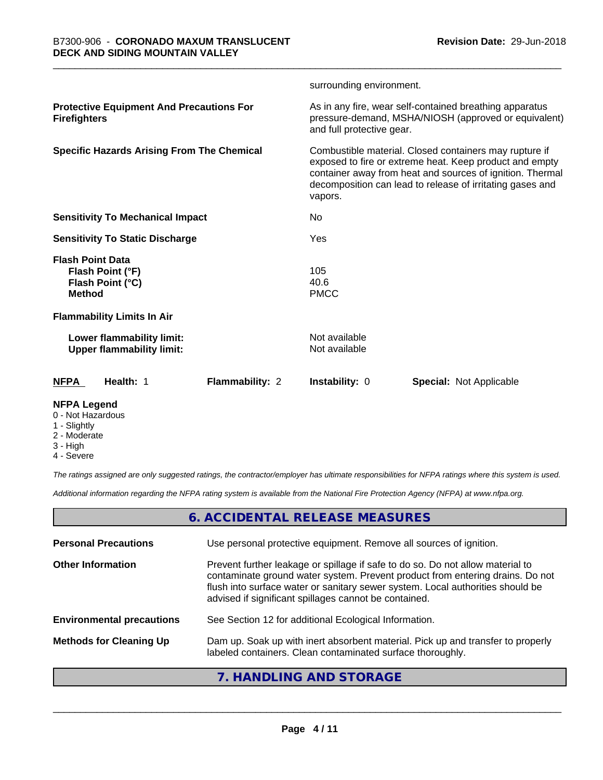|                                                                                  |                        | surrounding environment.                                                                                                                                                                                                                               |                                                                                                                 |  |
|----------------------------------------------------------------------------------|------------------------|--------------------------------------------------------------------------------------------------------------------------------------------------------------------------------------------------------------------------------------------------------|-----------------------------------------------------------------------------------------------------------------|--|
| <b>Protective Equipment And Precautions For</b><br><b>Firefighters</b>           |                        | and full protective gear.                                                                                                                                                                                                                              | As in any fire, wear self-contained breathing apparatus<br>pressure-demand, MSHA/NIOSH (approved or equivalent) |  |
| <b>Specific Hazards Arising From The Chemical</b>                                |                        | Combustible material. Closed containers may rupture if<br>exposed to fire or extreme heat. Keep product and empty<br>container away from heat and sources of ignition. Thermal<br>decomposition can lead to release of irritating gases and<br>vapors. |                                                                                                                 |  |
| <b>Sensitivity To Mechanical Impact</b>                                          |                        | No.                                                                                                                                                                                                                                                    |                                                                                                                 |  |
| <b>Sensitivity To Static Discharge</b>                                           |                        | Yes                                                                                                                                                                                                                                                    |                                                                                                                 |  |
| <b>Flash Point Data</b><br>Flash Point (°F)<br>Flash Point (°C)<br><b>Method</b> |                        | 105<br>40.6<br><b>PMCC</b>                                                                                                                                                                                                                             |                                                                                                                 |  |
| <b>Flammability Limits In Air</b>                                                |                        |                                                                                                                                                                                                                                                        |                                                                                                                 |  |
| Lower flammability limit:<br><b>Upper flammability limit:</b>                    |                        | Not available<br>Not available                                                                                                                                                                                                                         |                                                                                                                 |  |
| Health: 1<br><b>NFPA</b>                                                         | <b>Flammability: 2</b> | <b>Instability: 0</b>                                                                                                                                                                                                                                  | <b>Special: Not Applicable</b>                                                                                  |  |
| <b>NFPA Legend</b>                                                               |                        |                                                                                                                                                                                                                                                        |                                                                                                                 |  |

- 0 Not Hazardous
- 1 Slightly
- 2 Moderate
- 3 High
- 4 Severe

*The ratings assigned are only suggested ratings, the contractor/employer has ultimate responsibilities for NFPA ratings where this system is used.*

*Additional information regarding the NFPA rating system is available from the National Fire Protection Agency (NFPA) at www.nfpa.org.*

# **6. ACCIDENTAL RELEASE MEASURES**

| <b>Personal Precautions</b>      | Use personal protective equipment. Remove all sources of ignition.                                                                                                                                                                                                                                         |
|----------------------------------|------------------------------------------------------------------------------------------------------------------------------------------------------------------------------------------------------------------------------------------------------------------------------------------------------------|
| <b>Other Information</b>         | Prevent further leakage or spillage if safe to do so. Do not allow material to<br>contaminate ground water system. Prevent product from entering drains. Do not<br>flush into surface water or sanitary sewer system. Local authorities should be<br>advised if significant spillages cannot be contained. |
| <b>Environmental precautions</b> | See Section 12 for additional Ecological Information.                                                                                                                                                                                                                                                      |
| <b>Methods for Cleaning Up</b>   | Dam up. Soak up with inert absorbent material. Pick up and transfer to properly<br>labeled containers. Clean contaminated surface thoroughly.                                                                                                                                                              |
|                                  |                                                                                                                                                                                                                                                                                                            |

### **7. HANDLING AND STORAGE**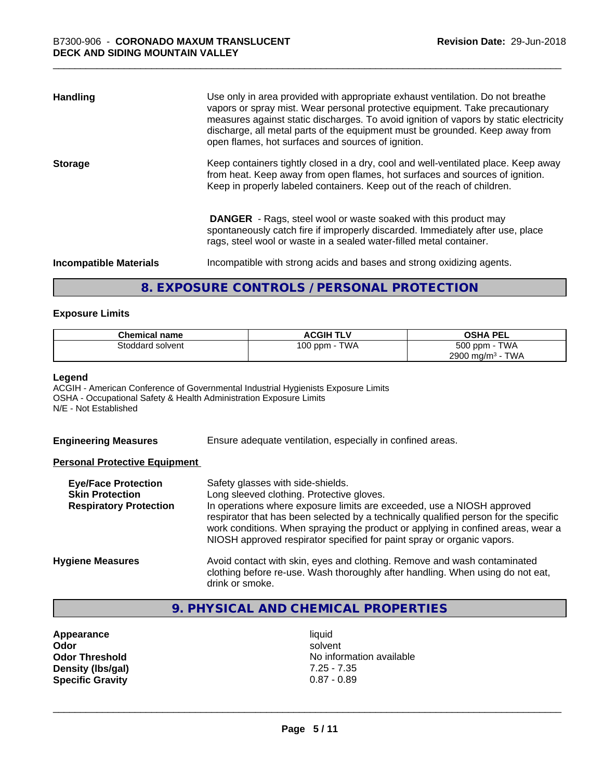| <b>Handling</b>               | Use only in area provided with appropriate exhaust ventilation. Do not breathe<br>vapors or spray mist. Wear personal protective equipment. Take precautionary<br>measures against static discharges. To avoid ignition of vapors by static electricity<br>discharge, all metal parts of the equipment must be grounded. Keep away from<br>open flames, hot surfaces and sources of ignition. |
|-------------------------------|-----------------------------------------------------------------------------------------------------------------------------------------------------------------------------------------------------------------------------------------------------------------------------------------------------------------------------------------------------------------------------------------------|
| <b>Storage</b>                | Keep containers tightly closed in a dry, cool and well-ventilated place. Keep away<br>from heat. Keep away from open flames, hot surfaces and sources of ignition.<br>Keep in properly labeled containers. Keep out of the reach of children.                                                                                                                                                 |
|                               | <b>DANGER</b> - Rags, steel wool or waste soaked with this product may<br>spontaneously catch fire if improperly discarded. Immediately after use, place<br>rags, steel wool or waste in a sealed water-filled metal container.                                                                                                                                                               |
| <b>Incompatible Materials</b> | Incompatible with strong acids and bases and strong oxidizing agents.                                                                                                                                                                                                                                                                                                                         |

# **8. EXPOSURE CONTROLS / PERSONAL PROTECTION**

#### **Exposure Limits**

| <b>Chemical name</b> | <b>ACGIH TLV</b> | <b>OSHA PEL</b>                        |
|----------------------|------------------|----------------------------------------|
| Stoddard solvent     | TWA<br>100 ppm   | 500 ppm -<br><b>TWA</b>                |
|                      |                  | <b>TWA</b><br>2900 mg/m <sup>3</sup> - |

#### **Legend**

ACGIH - American Conference of Governmental Industrial Hygienists Exposure Limits OSHA - Occupational Safety & Health Administration Exposure Limits N/E - Not Established

**Engineering Measures** Ensure adequate ventilation, especially in confined areas.

#### **Personal Protective Equipment**

| <b>Eye/Face Protection</b><br><b>Skin Protection</b><br><b>Respiratory Protection</b> | Safety glasses with side-shields.<br>Long sleeved clothing. Protective gloves.<br>In operations where exposure limits are exceeded, use a NIOSH approved<br>respirator that has been selected by a technically qualified person for the specific<br>work conditions. When spraying the product or applying in confined areas, wear a<br>NIOSH approved respirator specified for paint spray or organic vapors. |
|---------------------------------------------------------------------------------------|----------------------------------------------------------------------------------------------------------------------------------------------------------------------------------------------------------------------------------------------------------------------------------------------------------------------------------------------------------------------------------------------------------------|
| <b>Hygiene Measures</b>                                                               | Avoid contact with skin, eyes and clothing. Remove and wash contaminated<br>clothing before re-use. Wash thoroughly after handling. When using do not eat,<br>drink or smoke.                                                                                                                                                                                                                                  |

# **9. PHYSICAL AND CHEMICAL PROPERTIES**

**Appearance** liquid<br> **Appearance** liquid<br> **Odor** solver **Density (lbs/gal)** 7.25 - 7.35<br>**Specific Gravity** 0.87 - 0.89 **Specific Gravity** 

**Odor** solvent **Odor Threshold** No information available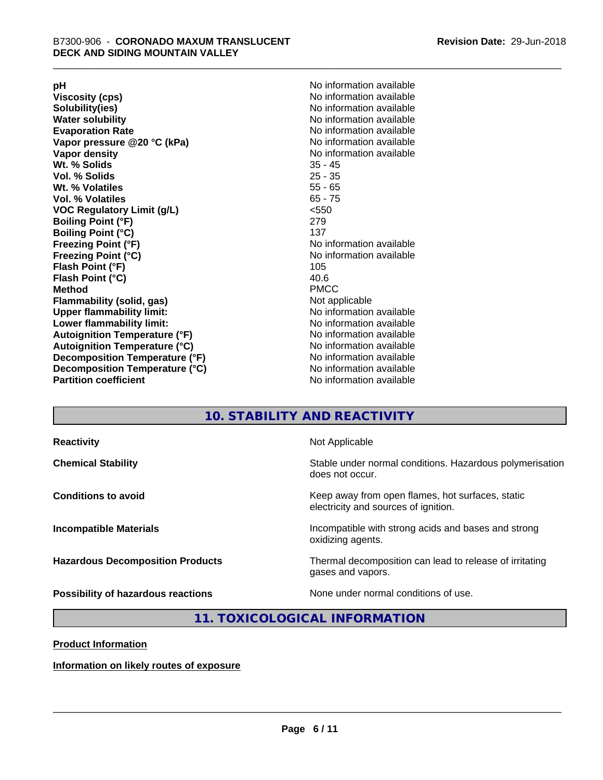**Viscosity (cps)** <br> **Viscosity (cps)** No information available<br>
No information available<br>
No information available **Water solubility**<br> **Evaporation Rate**<br> **Evaporation Rate**<br> **Evaporation Rate Vapor** pressure @20 °C (kPa) **Vapor density No information available Wt. % Solids** 35 - 45 **Vol. % Solids Wt. % Volatiles** 55 - 65 **Vol. % Volatiles** 65 - 75 **VOC Regulatory Limit (g/L)** <550 **Boiling Point (°F)** 279 **Boiling Point (°C)**<br>Freezing Point (°F) **Freezing Point (°C)** No information available **Flash Point (°F)** 105 **Flash Point (°C)** 40.6 **Method** PMCC **Flammability (solid, gas)** Not applicable **Upper flammability limit:** No information available **Lower flammability limit:** No information available **Autoignition Temperature (°F)** No information available **Autoignition Temperature (°C)** No information available **Decomposition Temperature (°F)** No information available **Decomposition Temperature (°C)** No information available<br> **Partition coefficient Partition available** 

**pH**<br>
Viscosity (cps) The Contract of the Contract of No information available<br>
No information available **Solubility(ies)** No information available No information available<br>No information available **No information available No information available** 

# **10. STABILITY AND REACTIVITY**

| <b>Reactivity</b>                       | Not Applicable                                                                           |
|-----------------------------------------|------------------------------------------------------------------------------------------|
| <b>Chemical Stability</b>               | Stable under normal conditions. Hazardous polymerisation<br>does not occur.              |
| <b>Conditions to avoid</b>              | Keep away from open flames, hot surfaces, static<br>electricity and sources of ignition. |
| <b>Incompatible Materials</b>           | Incompatible with strong acids and bases and strong<br>oxidizing agents.                 |
| <b>Hazardous Decomposition Products</b> | Thermal decomposition can lead to release of irritating<br>gases and vapors.             |
| Possibility of hazardous reactions      | None under normal conditions of use.                                                     |

**11. TOXICOLOGICAL INFORMATION**

**Product Information**

**Information on likely routes of exposure**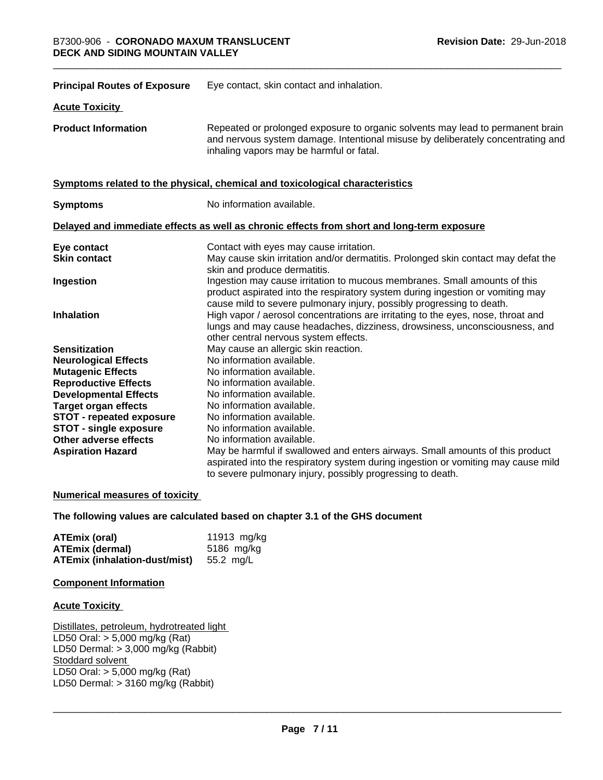| <b>Principal Routes of Exposure</b> | Eye contact, skin contact and inhalation.                                                                                                                                                                                            |
|-------------------------------------|--------------------------------------------------------------------------------------------------------------------------------------------------------------------------------------------------------------------------------------|
| <b>Acute Toxicity</b>               |                                                                                                                                                                                                                                      |
| <b>Product Information</b>          | Repeated or prolonged exposure to organic solvents may lead to permanent brain<br>and nervous system damage. Intentional misuse by deliberately concentrating and<br>inhaling vapors may be harmful or fatal.                        |
|                                     | Symptoms related to the physical, chemical and toxicological characteristics                                                                                                                                                         |
| <b>Symptoms</b>                     | No information available.                                                                                                                                                                                                            |
|                                     | Delayed and immediate effects as well as chronic effects from short and long-term exposure                                                                                                                                           |
| Eye contact                         | Contact with eyes may cause irritation.                                                                                                                                                                                              |
| <b>Skin contact</b>                 | May cause skin irritation and/or dermatitis. Prolonged skin contact may defat the<br>skin and produce dermatitis.                                                                                                                    |
| Ingestion                           | Ingestion may cause irritation to mucous membranes. Small amounts of this<br>product aspirated into the respiratory system during ingestion or vomiting may<br>cause mild to severe pulmonary injury, possibly progressing to death. |
| <b>Inhalation</b>                   | High vapor / aerosol concentrations are irritating to the eyes, nose, throat and<br>lungs and may cause headaches, dizziness, drowsiness, unconsciousness, and<br>other central nervous system effects.                              |
| <b>Sensitization</b>                | May cause an allergic skin reaction.                                                                                                                                                                                                 |
| <b>Neurological Effects</b>         | No information available.                                                                                                                                                                                                            |
| <b>Mutagenic Effects</b>            | No information available.                                                                                                                                                                                                            |
| <b>Reproductive Effects</b>         | No information available.                                                                                                                                                                                                            |
| <b>Developmental Effects</b>        | No information available.                                                                                                                                                                                                            |
| <b>Target organ effects</b>         | No information available.                                                                                                                                                                                                            |
| <b>STOT - repeated exposure</b>     | No information available.                                                                                                                                                                                                            |
| <b>STOT - single exposure</b>       | No information available.                                                                                                                                                                                                            |
| Other adverse effects               | No information available.                                                                                                                                                                                                            |
| <b>Aspiration Hazard</b>            | May be harmful if swallowed and enters airways. Small amounts of this product                                                                                                                                                        |
|                                     | aspirated into the respiratory system during ingestion or vomiting may cause mild<br>to severe pulmonary injury, possibly progressing to death.                                                                                      |
|                                     |                                                                                                                                                                                                                                      |

#### **Numerical measures of toxicity**

#### **The following values are calculated based on chapter 3.1 of the GHS document**

| ATEmix (oral)                        | 11913 mg/kg |
|--------------------------------------|-------------|
| <b>ATEmix (dermal)</b>               | 5186 mg/kg  |
| <b>ATEmix (inhalation-dust/mist)</b> | 55.2 mg/L   |

#### **Component Information**

#### **Acute Toxicity**

Distillates, petroleum, hydrotreated light LD50 Oral: > 5,000 mg/kg (Rat) LD50 Dermal: > 3,000 mg/kg (Rabbit) Stoddard solvent LD50 Oral: > 5,000 mg/kg (Rat) LD50 Dermal:  $> 3160$  mg/kg (Rabbit)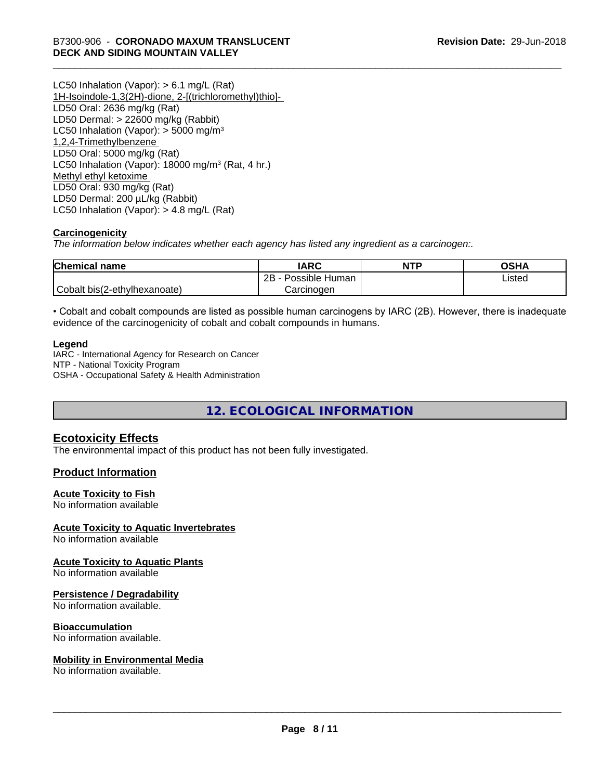LC50 Inhalation (Vapor): > 6.1 mg/L (Rat) 1H-Isoindole-1,3(2H)-dione, 2-[(trichloromethyl)thio]- LD50 Oral: 2636 mg/kg (Rat) LD50 Dermal: > 22600 mg/kg (Rabbit) LC50 Inhalation (Vapor):  $>$  5000 mg/m<sup>3</sup> 1,2,4-Trimethylbenzene LD50 Oral: 5000 mg/kg (Rat) LC50 Inhalation (Vapor): 18000 mg/m<sup>3</sup> (Rat, 4 hr.) Methyl ethyl ketoxime LD50 Oral: 930 mg/kg (Rat) LD50 Dermal: 200 µL/kg (Rabbit) LC50 Inhalation (Vapor): > 4.8 mg/L (Rat)

#### **Carcinogenicity**

*The information below indicateswhether each agency has listed any ingredient as a carcinogen:.*

| <b>Chemical name</b>         | <b>IARC</b>             | <b>NTP</b> | OSHA   |
|------------------------------|-------------------------|------------|--------|
|                              | Possible<br>2B<br>Human |            | Listed |
| Cobalt bis(2-ethylhexanoate) | Carcinogen              |            |        |

• Cobalt and cobalt compounds are listed as possible human carcinogens by IARC (2B). However, there is inadequate evidence of the carcinogenicity of cobalt and cobalt compounds in humans.

#### **Legend**

IARC - International Agency for Research on Cancer NTP - National Toxicity Program OSHA - Occupational Safety & Health Administration

**12. ECOLOGICAL INFORMATION**

### **Ecotoxicity Effects**

The environmental impact of this product has not been fully investigated.

#### **Product Information**

#### **Acute Toxicity to Fish**

No information available

#### **Acute Toxicity to Aquatic Invertebrates**

No information available

#### **Acute Toxicity to Aquatic Plants**

No information available

#### **Persistence / Degradability**

No information available.

#### **Bioaccumulation**

No information available.

#### **Mobility in Environmental Media**

No information available.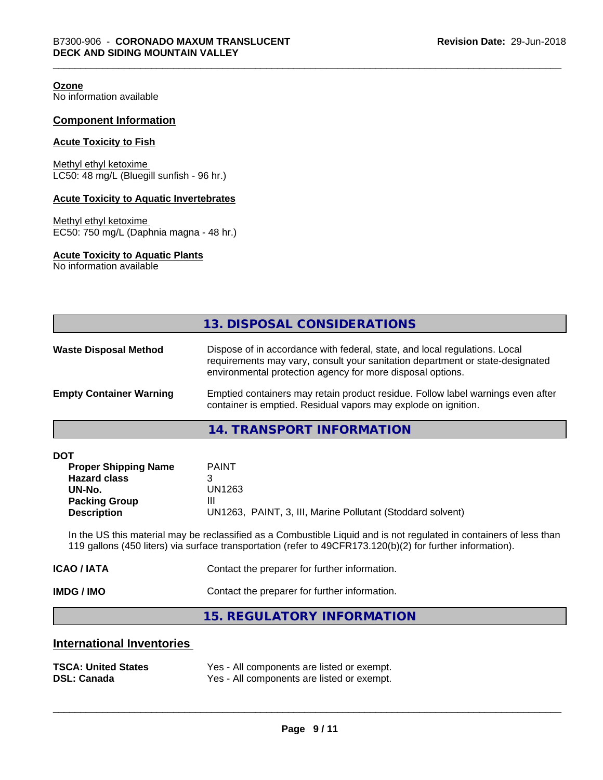**Ozone**

No information available

#### **Component Information**

#### **Acute Toxicity to Fish**

Methyl ethyl ketoxime LC50: 48 mg/L (Bluegill sunfish - 96 hr.)

#### **Acute Toxicity to Aquatic Invertebrates**

Methyl ethyl ketoxime EC50: 750 mg/L (Daphnia magna - 48 hr.)

#### **Acute Toxicity to Aquatic Plants**

No information available

#### **14. TRANSPORT INFORMATION**

| <b>DOT</b> |
|------------|
|------------|

| <b>Proper Shipping Name</b> | <b>PAINT</b>                                               |
|-----------------------------|------------------------------------------------------------|
| <b>Hazard class</b>         |                                                            |
| UN-No.                      | UN1263                                                     |
| <b>Packing Group</b>        | Ш                                                          |
| <b>Description</b>          | UN1263, PAINT, 3, III, Marine Pollutant (Stoddard solvent) |

In the US this material may be reclassified as a Combustible Liquid and is not regulated in containers of less than 119 gallons (450 liters) via surface transportation (refer to 49CFR173.120(b)(2) for further information).

| IMDG / IMO  | Contact the preparer for further information. |
|-------------|-----------------------------------------------|
| ICAO / IATA | Contact the preparer for further information. |

**15. REGULATORY INFORMATION**

### **International Inventories**

| <b>TSCA: United States</b> | Yes - All components are listed or exempt. |
|----------------------------|--------------------------------------------|
| <b>DSL: Canada</b>         | Yes - All components are listed or exempt. |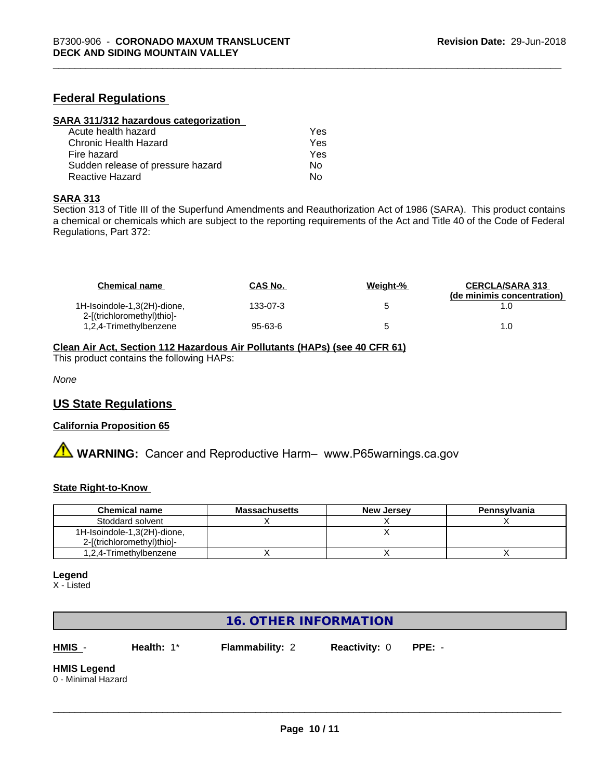### **Federal Regulations**

| SARA 311/312 hazardous categorization |     |  |
|---------------------------------------|-----|--|
| Acute health hazard                   | Yes |  |
| Chronic Health Hazard                 | Yes |  |
| Fire hazard                           | Yes |  |
| Sudden release of pressure hazard     | Nο  |  |
| Reactive Hazard                       | No  |  |

#### **SARA 313**

Section 313 of Title III of the Superfund Amendments and Reauthorization Act of 1986 (SARA). This product contains a chemical or chemicals which are subject to the reporting requirements of the Act and Title 40 of the Code of Federal Regulations, Part 372:

| <b>Chemical name</b>                                      | <b>CAS No.</b> | Weight-% | <b>CERCLA/SARA 313</b><br>(de minimis concentration) |
|-----------------------------------------------------------|----------------|----------|------------------------------------------------------|
| 1H-Isoindole-1,3(2H)-dione,<br>2-[(trichloromethyl)thio]- | 133-07-3       |          |                                                      |
| 1,2,4-Trimethylbenzene                                    | 95-63-6        |          | 1.0                                                  |

#### **Clean Air Act,Section 112 Hazardous Air Pollutants (HAPs) (see 40 CFR 61)**

This product contains the following HAPs:

*None*

#### **US State Regulations**

#### **California Proposition 65**

**A** WARNING: Cancer and Reproductive Harm– www.P65warnings.ca.gov

#### **State Right-to-Know**

| <b>Chemical name</b>        | <b>Massachusetts</b> | <b>New Jersey</b> | Pennsylvania |
|-----------------------------|----------------------|-------------------|--------------|
| Stoddard solvent            |                      |                   |              |
| 1H-Isoindole-1,3(2H)-dione, |                      |                   |              |
| 2-[(trichloromethyl)thio]-  |                      |                   |              |
| 1,2,4-Trimethylbenzene      |                      |                   |              |

#### **Legend**

X - Listed

# **16. OTHER INFORMATION**

**HMIS** - **Health:** 1\* **Flammability:** 2 **Reactivity:** 0 **PPE:** -

 $\overline{\phantom{a}}$  ,  $\overline{\phantom{a}}$  ,  $\overline{\phantom{a}}$  ,  $\overline{\phantom{a}}$  ,  $\overline{\phantom{a}}$  ,  $\overline{\phantom{a}}$  ,  $\overline{\phantom{a}}$  ,  $\overline{\phantom{a}}$  ,  $\overline{\phantom{a}}$  ,  $\overline{\phantom{a}}$  ,  $\overline{\phantom{a}}$  ,  $\overline{\phantom{a}}$  ,  $\overline{\phantom{a}}$  ,  $\overline{\phantom{a}}$  ,  $\overline{\phantom{a}}$  ,  $\overline{\phantom{a}}$ 

# **HMIS Legend**

0 - Minimal Hazard